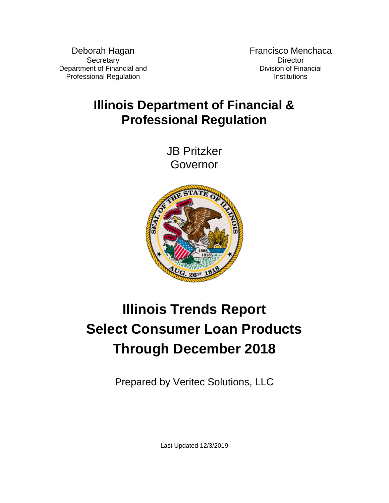Deborah Hagan **Secretary** Department of Financial and Professional Regulation

Francisco Menchaca **Director** Division of Financial **Institutions** 

## **Illinois Department of Financial & Professional Regulation**

JB Pritzker Governor



# **Illinois Trends Report Select Consumer Loan Products Through December 2018**

Prepared by Veritec Solutions, LLC

Last Updated 12/3/2019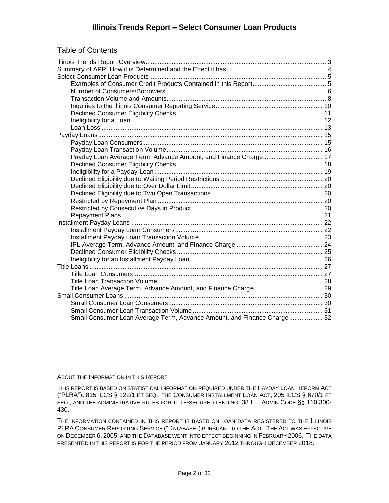#### **Illinois Trends Report – Select Consumer Loan Products**

#### Table of Contents

| Payday Loan Average Term, Advance Amount, and Finance Charge 17         |  |
|-------------------------------------------------------------------------|--|
|                                                                         |  |
|                                                                         |  |
|                                                                         |  |
|                                                                         |  |
|                                                                         |  |
|                                                                         |  |
|                                                                         |  |
|                                                                         |  |
|                                                                         |  |
|                                                                         |  |
|                                                                         |  |
|                                                                         |  |
|                                                                         |  |
|                                                                         |  |
|                                                                         |  |
|                                                                         |  |
|                                                                         |  |
|                                                                         |  |
|                                                                         |  |
|                                                                         |  |
|                                                                         |  |
| Small Consumer Loan Average Term, Advance Amount, and Finance Charge 32 |  |

#### ABOUT THE INFORMATION IN THIS REPORT

THIS REPORT IS BASED ON STATISTICAL INFORMATION REQUIRED UNDER THE PAYDAY LOAN REFORM ACT ("PLRA"), 815 ILCS § 122/1 ET SEQ.; THE CONSUMER INSTALLMENT LOAN ACT, 205 ILCS § 670/1 ET SEQ., AND THE ADMINISTRATIVE RULES FOR TITLE-SECURED LENDING, 38 ILL. ADMIN CODE §§ 110.300- 430.

THE INFORMATION CONTAINED IN THIS REPORT IS BASED ON LOAN DATA REGISTERED TO THE ILLINOIS PLRA CONSUMER REPORTING SERVICE ("DATABASE") PURSUANT TO THE ACT. THE ACT WAS EFFECTIVE ON DECEMBER 6, 2005, AND THE DATABASE WENT INTO EFFECT BEGINNING IN FEBRUARY 2006. THE DATA PRESENTED IN THIS REPORT IS FOR THE PERIOD FROM JANUARY 2012 THROUGH DECEMBER 2018.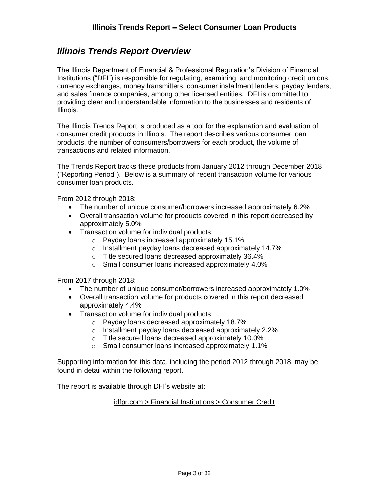### <span id="page-2-0"></span>*Illinois Trends Report Overview*

The Illinois Department of Financial & Professional Regulation's Division of Financial Institutions ("DFI") is responsible for regulating, examining, and monitoring credit unions, currency exchanges, money transmitters, consumer installment lenders, payday lenders, and sales finance companies, among other licensed entities. DFI is committed to providing clear and understandable information to the businesses and residents of Illinois.

The Illinois Trends Report is produced as a tool for the explanation and evaluation of consumer credit products in Illinois. The report describes various consumer loan products, the number of consumers/borrowers for each product, the volume of transactions and related information.

The Trends Report tracks these products from January 2012 through December 2018 ("Reporting Period"). Below is a summary of recent transaction volume for various consumer loan products.

From 2012 through 2018:

- The number of unique consumer/borrowers increased approximately 6.2%
- Overall transaction volume for products covered in this report decreased by approximately 5.0%
- Transaction volume for individual products:
	- o Payday loans increased approximately 15.1%
	- o Installment payday loans decreased approximately 14.7%
	- o Title secured loans decreased approximately 36.4%
	- o Small consumer loans increased approximately 4.0%

From 2017 through 2018:

- The number of unique consumer/borrowers increased approximately 1.0%
- Overall transaction volume for products covered in this report decreased approximately 4.4%
- Transaction volume for individual products:
	- o Payday loans decreased approximately 18.7%
	- o Installment payday loans decreased approximately 2.2%
	- o Title secured loans decreased approximately 10.0%
	- o Small consumer loans increased approximately 1.1%

Supporting information for this data, including the period 2012 through 2018, may be found in detail within the following report.

The report is available through DFI's website at:

idfpr.com > Financial Institutions > Consumer Credit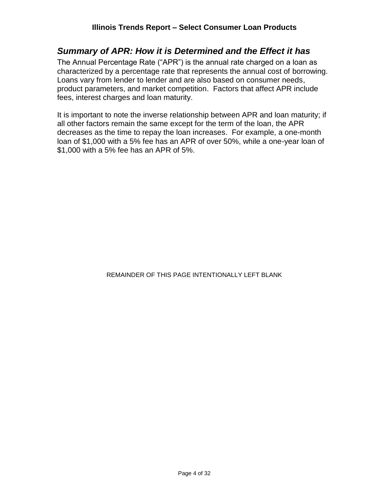### <span id="page-3-0"></span>*Summary of APR: How it is Determined and the Effect it has*

The Annual Percentage Rate ("APR") is the annual rate charged on a loan as characterized by a percentage rate that represents the annual cost of borrowing. Loans vary from lender to lender and are also based on consumer needs, product parameters, and market competition. Factors that affect APR include fees, interest charges and loan maturity.

It is important to note the inverse relationship between APR and loan maturity; if all other factors remain the same except for the term of the loan, the APR decreases as the time to repay the loan increases. For example, a one-month loan of \$1,000 with a 5% fee has an APR of over 50%, while a one-year loan of \$1,000 with a 5% fee has an APR of 5%.

#### REMAINDER OF THIS PAGE INTENTIONALLY LEFT BLANK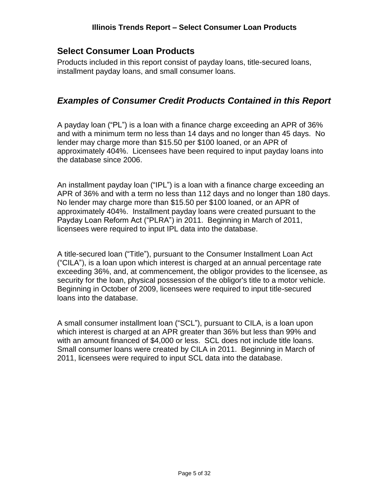### <span id="page-4-0"></span>**Select Consumer Loan Products**

Products included in this report consist of payday loans, title-secured loans, installment payday loans, and small consumer loans.

### <span id="page-4-1"></span>*Examples of Consumer Credit Products Contained in this Report*

A payday loan ("PL") is a loan with a finance charge exceeding an APR of 36% and with a minimum term no less than 14 days and no longer than 45 days. No lender may charge more than \$15.50 per \$100 loaned, or an APR of approximately 404%. Licensees have been required to input payday loans into the database since 2006.

An installment payday loan ("IPL") is a loan with a finance charge exceeding an APR of 36% and with a term no less than 112 days and no longer than 180 days. No lender may charge more than \$15.50 per \$100 loaned, or an APR of approximately 404%. Installment payday loans were created pursuant to the Payday Loan Reform Act ("PLRA") in 2011. Beginning in March of 2011, licensees were required to input IPL data into the database.

A title-secured loan ("Title"), pursuant to the Consumer Installment Loan Act ("CILA"), is a loan upon which interest is charged at an annual percentage rate exceeding 36%, and, at commencement, the obligor provides to the licensee, as security for the loan, physical possession of the obligor's title to a motor vehicle. Beginning in October of 2009, licensees were required to input title-secured loans into the database.

A small consumer installment loan ("SCL"), pursuant to CILA, is a loan upon which interest is charged at an APR greater than 36% but less than 99% and with an amount financed of \$4,000 or less. SCL does not include title loans. Small consumer loans were created by CILA in 2011. Beginning in March of 2011, licensees were required to input SCL data into the database.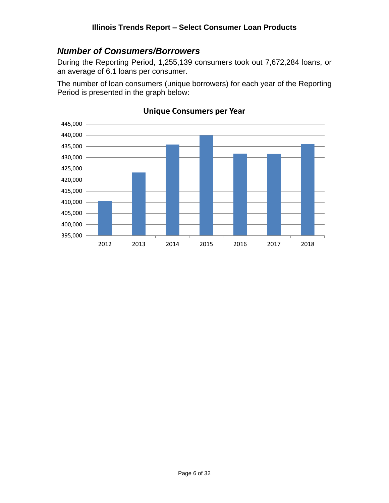### <span id="page-5-0"></span>*Number of Consumers/Borrowers*

During the Reporting Period, 1,255,139 consumers took out 7,672,284 loans, or an average of 6.1 loans per consumer.

The number of loan consumers (unique borrowers) for each year of the Reporting Period is presented in the graph below:



#### **Unique Consumers per Year**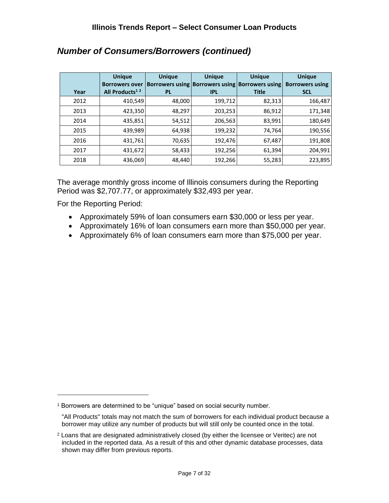|      | <b>Unique</b><br><b>Borrowers over</b> | <b>Unique</b> | <b>Unique</b><br>Borrowers using   Borrowers using   Borrowers using | <b>Unique</b> | <b>Unique</b><br><b>Borrowers using</b> |
|------|----------------------------------------|---------------|----------------------------------------------------------------------|---------------|-----------------------------------------|
| Year | All Products <sup>12</sup>             | <b>PL</b>     | <b>IPL</b>                                                           | <b>Title</b>  | <b>SCL</b>                              |
| 2012 | 410,549                                | 48,000        | 199,712                                                              | 82,313        | 166,487                                 |
| 2013 | 423,350                                | 48,297        | 203,253                                                              | 86,912        | 171,348                                 |
| 2014 | 435,851                                | 54,512        | 206,563                                                              | 83,991        | 180,649                                 |
| 2015 | 439,989                                | 64,938        | 199,232                                                              | 74,764        | 190,556                                 |
| 2016 | 431,761                                | 70,635        | 192,476                                                              | 67,487        | 191,808                                 |
| 2017 | 431,672                                | 58,433        | 192,256                                                              | 61,394        | 204,991                                 |
| 2018 | 436,069                                | 48,440        | 192,266                                                              | 55,283        | 223,895                                 |

### *Number of Consumers/Borrowers (continued)*

The average monthly gross income of Illinois consumers during the Reporting Period was \$2,707.77, or approximately \$32,493 per year.

For the Reporting Period:

- Approximately 59% of loan consumers earn \$30,000 or less per year.
- Approximately 16% of loan consumers earn more than \$50,000 per year.
- Approximately 6% of loan consumers earn more than \$75,000 per year.

<sup>&</sup>lt;sup>1</sup> Borrowers are determined to be "unique" based on social security number.

<sup>&</sup>quot;All Products" totals may not match the sum of borrowers for each individual product because a borrower may utilize any number of products but will still only be counted once in the total.

 $2$  Loans that are designated administratively closed (by either the licensee or Veritec) are not included in the reported data. As a result of this and other dynamic database processes, data shown may differ from previous reports.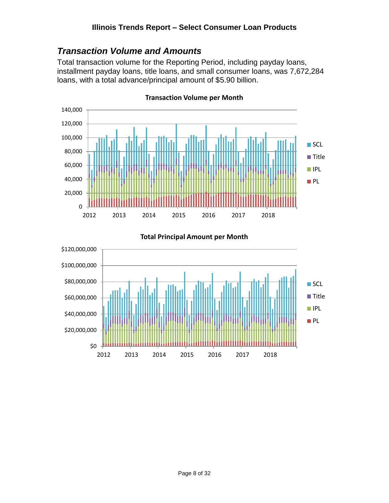### <span id="page-7-0"></span>*Transaction Volume and Amounts*

Total transaction volume for the Reporting Period, including payday loans, installment payday loans, title loans, and small consumer loans, was 7,672,284 loans, with a total advance/principal amount of \$5.90 billion.



**Transaction Volume per Month**

### \$0 \$20,000,000 \$40,000,000 \$60,000,000 \$80,000,000 \$100,000,000 \$120,000,000 2012 2013 2014 2015 2016 2017 2018  $\blacksquare$  SCL **■** Title IPL **PL**

**Total Principal Amount per Month**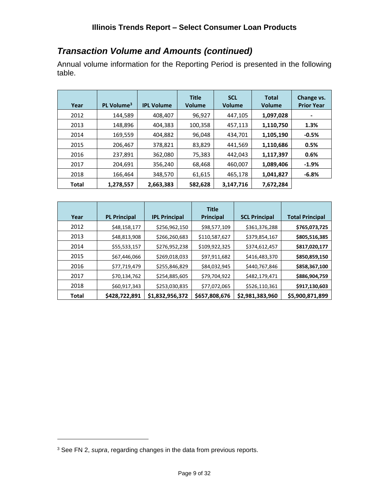### *Transaction Volume and Amounts (continued)*

Annual volume information for the Reporting Period is presented in the following table.

| Year         | PL Volume <sup>3</sup> | <b>IPL Volume</b> | <b>Title</b><br><b>Volume</b> | <b>SCL</b><br><b>Volume</b> | <b>Total</b><br><b>Volume</b> | Change vs.<br><b>Prior Year</b> |
|--------------|------------------------|-------------------|-------------------------------|-----------------------------|-------------------------------|---------------------------------|
| 2012         | 144,589                | 408,407           | 96,927                        | 447,105                     | 1,097,028                     | $\blacksquare$                  |
| 2013         | 148,896                | 404,383           | 100,358                       | 457,113                     | 1,110,750                     | 1.3%                            |
| 2014         | 169,559                | 404,882           | 96,048                        | 434,701                     | 1,105,190                     | $-0.5%$                         |
| 2015         | 206,467                | 378,821           | 83,829                        | 441,569                     | 1,110,686                     | 0.5%                            |
| 2016         | 237,891                | 362,080           | 75,383                        | 442.043                     | 1,117,397                     | 0.6%                            |
| 2017         | 204,691                | 356,240           | 68,468                        | 460,007                     | 1,089,406                     | $-1.9%$                         |
| 2018         | 166,464                | 348,570           | 61,615                        | 465,178                     | 1,041,827                     | $-6.8%$                         |
| <b>Total</b> | 1,278,557              | 2,663,383         | 582,628                       | 3,147,716                   | 7,672,284                     |                                 |

|       |                     |                      | <b>Title</b>  |                      |                        |
|-------|---------------------|----------------------|---------------|----------------------|------------------------|
| Year  | <b>PL Principal</b> | <b>IPL Principal</b> | Principal     | <b>SCL Principal</b> | <b>Total Principal</b> |
| 2012  | \$48,158,177        | \$256,962,150        | \$98,577,109  | \$361,376,288        | \$765,073,725          |
| 2013  | \$48,813,908        | \$266,260,683        | \$110,587,627 | \$379,854,167        | \$805,516,385          |
| 2014  | \$55,533,157        | \$276,952,238        | \$109,922,325 | \$374,612,457        | \$817,020,177          |
| 2015  | \$67,446,066        | \$269,018,033        | \$97,911,682  | \$416,483,370        | \$850,859,150          |
| 2016  | \$77,719,479        | \$255,846,829        | \$84,032,945  | \$440,767,846        | \$858,367,100          |
| 2017  | \$70,134,762        | \$254,885,605        | \$79,704,922  | \$482,179,471        | \$886,904,759          |
| 2018  | \$60,917,343        | \$253,030,835        | \$77,072,065  | \$526,110,361        | \$917,130,603          |
| Total | \$428,722,891       | \$1,832,956,372      | \$657,808,676 | \$2,981,383,960      | \$5,900,871,899        |

<sup>3</sup> See FN 2, *supra*, regarding changes in the data from previous reports.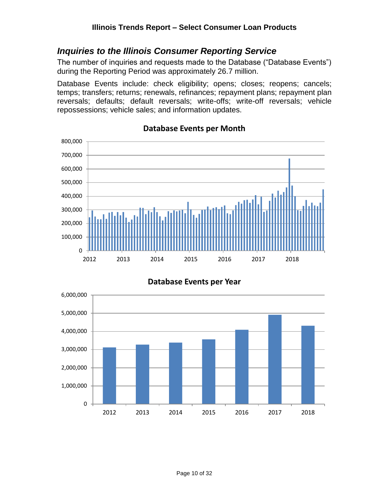### <span id="page-9-0"></span>*Inquiries to the Illinois Consumer Reporting Service*

The number of inquiries and requests made to the Database ("Database Events") during the Reporting Period was approximately 26.7 million.

Database Events include: check eligibility; opens; closes; reopens; cancels; temps; transfers; returns; renewals, refinances; repayment plans; repayment plan reversals; defaults; default reversals; write-offs; write-off reversals; vehicle repossessions; vehicle sales; and information updates.



#### **Database Events per Month**

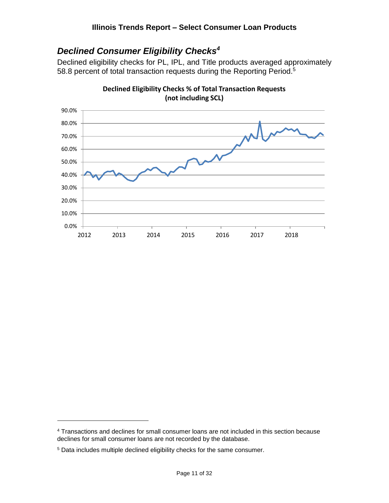### <span id="page-10-0"></span>*Declined Consumer Eligibility Checks<sup>4</sup>*

Declined eligibility checks for PL, IPL, and Title products averaged approximately 58.8 percent of total transaction requests during the Reporting Period.<sup>5</sup>



**Declined Eligibility Checks % of Total Transaction Requests (not including SCL)**

<sup>4</sup> Transactions and declines for small consumer loans are not included in this section because declines for small consumer loans are not recorded by the database.

<sup>5</sup> Data includes multiple declined eligibility checks for the same consumer.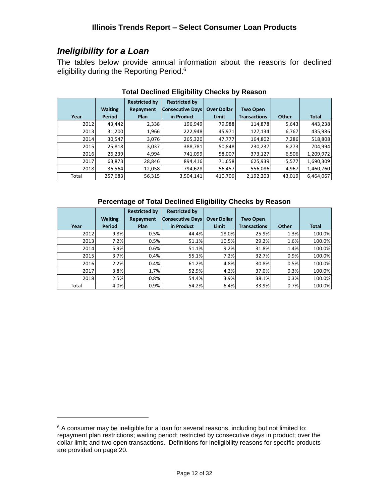### <span id="page-11-0"></span>*Ineligibility for a Loan*

 $\overline{a}$ 

The tables below provide annual information about the reasons for declined eligibility during the Reporting Period.<sup>6</sup>

|       |                | <b>Restricted by</b> | <b>Restricted by</b>    |                    |                     |        |              |
|-------|----------------|----------------------|-------------------------|--------------------|---------------------|--------|--------------|
|       | <b>Waiting</b> | Repayment            | <b>Consecutive Days</b> | <b>Over Dollar</b> | <b>Two Open</b>     |        |              |
| Year  | <b>Period</b>  | Plan                 | in Product              | Limit              | <b>Transactions</b> | Other  | <b>Total</b> |
| 2012  | 43,442         | 2,338                | 196,949                 | 79,988             | 114,878             | 5,643  | 443,238      |
| 2013  | 31,200         | 1,966                | 222,948                 | 45,971             | 127,134             | 6,767  | 435,986      |
| 2014  | 30,547         | 3,076                | 265,320                 | 47,777             | 164,802             | 7,286  | 518,808      |
| 2015  | 25,818         | 3,037                | 388,781                 | 50,848             | 230,237             | 6,273  | 704,994      |
| 2016  | 26,239         | 4,994                | 741,099                 | 58,007             | 373,127             | 6,506  | 1,209,972    |
| 2017  | 63,873         | 28,846               | 894,416                 | 71,658             | 625,939             | 5,577  | 1,690,309    |
| 2018  | 36,564         | 12,058               | 794,628                 | 56,457             | 556,086             | 4,967  | 1,460,760    |
| Total | 257,683        | 56,315               | 3,504,141               | 410,706            | 2,192,203           | 43,019 | 6,464,067    |

#### **Total Declined Eligibility Checks by Reason**

#### **Percentage of Total Declined Eligibility Checks by Reason**

|       |                | <b>Restricted by</b> | <b>Restricted by</b>    |                    |                     |       |              |
|-------|----------------|----------------------|-------------------------|--------------------|---------------------|-------|--------------|
|       | <b>Waiting</b> | Repayment            | <b>Consecutive Days</b> | <b>Over Dollar</b> | <b>Two Open</b>     |       |              |
| Year  | Period         | Plan                 | in Product              | Limit              | <b>Transactions</b> | Other | <b>Total</b> |
| 2012  | 9.8%           | 0.5%                 | 44.4%                   | 18.0%              | 25.9%               | 1.3%  | 100.0%       |
| 2013  | 7.2%           | 0.5%                 | 51.1%                   | 10.5%              | 29.2%               | 1.6%  | 100.0%       |
| 2014  | 5.9%           | 0.6%                 | 51.1%                   | 9.2%               | 31.8%               | 1.4%  | 100.0%       |
| 2015  | 3.7%           | 0.4%                 | 55.1%                   | 7.2%               | 32.7%               | 0.9%  | 100.0%       |
| 2016  | 2.2%           | 0.4%                 | 61.2%                   | 4.8%               | 30.8%               | 0.5%  | 100.0%       |
| 2017  | 3.8%           | 1.7%                 | 52.9%                   | 4.2%               | 37.0%               | 0.3%  | 100.0%       |
| 2018  | 2.5%           | 0.8%                 | 54.4%                   | 3.9%               | 38.1%               | 0.3%  | 100.0%       |
| Total | 4.0%           | 0.9%                 | 54.2%                   | 6.4%               | 33.9%               | 0.7%  | 100.0%       |

<sup>&</sup>lt;sup>6</sup> A consumer may be ineligible for a loan for several reasons, including but not limited to: repayment plan restrictions; waiting period; restricted by consecutive days in product; over the dollar limit; and two open transactions. Definitions for ineligibility reasons for specific products are provided on page 20.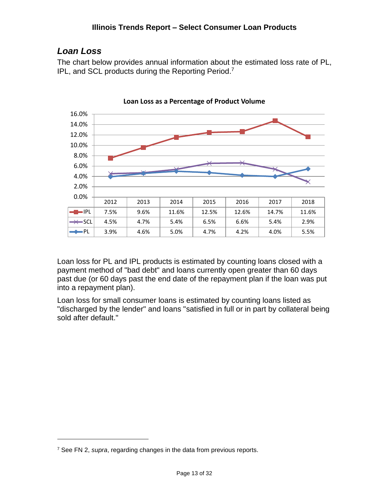### <span id="page-12-0"></span>*Loan Loss*

 $\overline{a}$ 

The chart below provides annual information about the estimated loss rate of PL, IPL, and SCL products during the Reporting Period.<sup>7</sup>



Loan loss for PL and IPL products is estimated by counting loans closed with a payment method of "bad debt" and loans currently open greater than 60 days past due (or 60 days past the end date of the repayment plan if the loan was put into a repayment plan).

Loan loss for small consumer loans is estimated by counting loans listed as "discharged by the lender" and loans "satisfied in full or in part by collateral being sold after default."

<sup>7</sup> See FN 2, *supra*, regarding changes in the data from previous reports.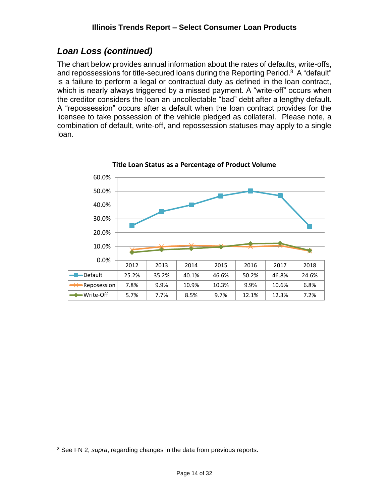### *Loan Loss (continued)*

The chart below provides annual information about the rates of defaults, write-offs, and repossessions for title-secured loans during the Reporting Period.<sup>8</sup> A "default" is a failure to perform a legal or contractual duty as defined in the loan contract, which is nearly always triggered by a missed payment. A "write-off" occurs when the creditor considers the loan an uncollectable "bad" debt after a lengthy default. A "repossession" occurs after a default when the loan contract provides for the licensee to take possession of the vehicle pledged as collateral. Please note, a combination of default, write-off, and repossession statuses may apply to a single loan.



**Title Loan Status as a Percentage of Product Volume**

<sup>8</sup> See FN 2, *supra*, regarding changes in the data from previous reports.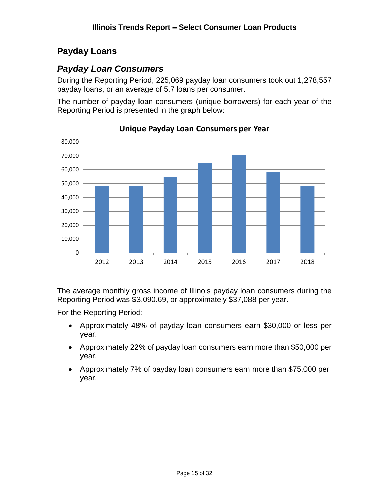### <span id="page-14-0"></span>**Payday Loans**

### <span id="page-14-1"></span>*Payday Loan Consumers*

During the Reporting Period, 225,069 payday loan consumers took out 1,278,557 payday loans, or an average of 5.7 loans per consumer.

The number of payday loan consumers (unique borrowers) for each year of the Reporting Period is presented in the graph below:



**Unique Payday Loan Consumers per Year**

The average monthly gross income of Illinois payday loan consumers during the Reporting Period was \$3,090.69, or approximately \$37,088 per year.

For the Reporting Period:

- Approximately 48% of payday loan consumers earn \$30,000 or less per year.
- Approximately 22% of payday loan consumers earn more than \$50,000 per year.
- Approximately 7% of payday loan consumers earn more than \$75,000 per year.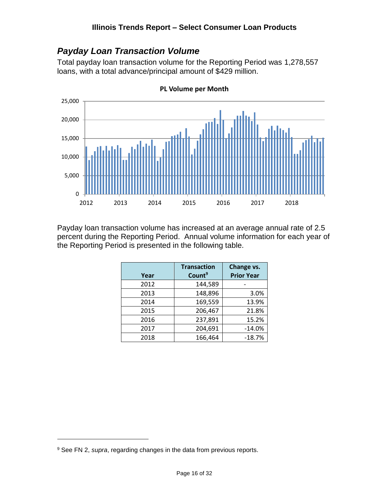### <span id="page-15-0"></span>*Payday Loan Transaction Volume*

Total payday loan transaction volume for the Reporting Period was 1,278,557 loans, with a total advance/principal amount of \$429 million.



**PL Volume per Month**

Payday loan transaction volume has increased at an average annual rate of 2.5 percent during the Reporting Period. Annual volume information for each year of the Reporting Period is presented in the following table.

| Year | <b>Transaction</b><br>Count <sup>9</sup> | Change vs.<br><b>Prior Year</b> |
|------|------------------------------------------|---------------------------------|
| 2012 | 144,589                                  |                                 |
| 2013 | 148,896                                  | 3.0%                            |
| 2014 | 169,559                                  | 13.9%                           |
| 2015 | 206,467                                  | 21.8%                           |
| 2016 | 237,891                                  | 15.2%                           |
| 2017 | 204,691                                  | $-14.0%$                        |
| 2018 | 166,464                                  | $-18.7%$                        |

<sup>9</sup> See FN 2, *supra*, regarding changes in the data from previous reports.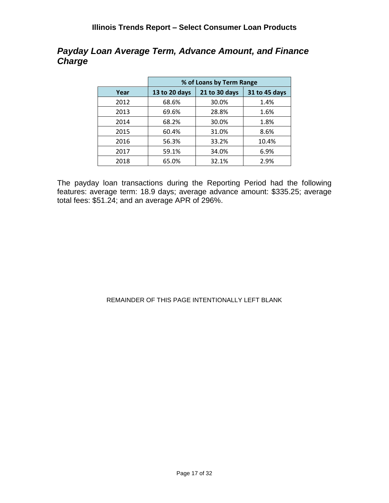### <span id="page-16-0"></span>*Payday Loan Average Term, Advance Amount, and Finance Charge*

|      | % of Loans by Term Range |               |               |  |  |
|------|--------------------------|---------------|---------------|--|--|
| Year | 13 to 20 days            | 21 to 30 days | 31 to 45 days |  |  |
| 2012 | 68.6%                    | 30.0%         | 1.4%          |  |  |
| 2013 | 69.6%                    | 28.8%         | 1.6%          |  |  |
| 2014 | 68.2%                    | 30.0%         | 1.8%          |  |  |
| 2015 | 60.4%                    | 31.0%         | 8.6%          |  |  |
| 2016 | 56.3%                    | 33.2%         | 10.4%         |  |  |
| 2017 | 59.1%                    | 34.0%         | 6.9%          |  |  |
| 2018 | 65.0%                    | 32.1%         | 2.9%          |  |  |

The payday loan transactions during the Reporting Period had the following features: average term: 18.9 days; average advance amount: \$335.25; average total fees: \$51.24; and an average APR of 296%.

#### REMAINDER OF THIS PAGE INTENTIONALLY LEFT BLANK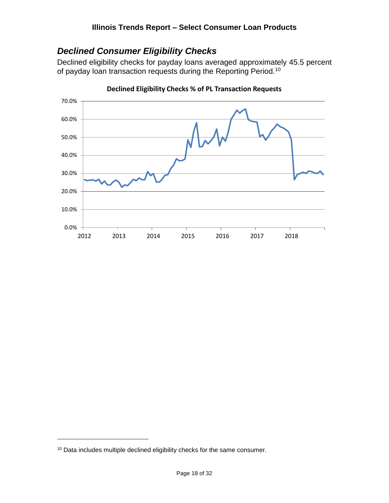### <span id="page-17-0"></span>*Declined Consumer Eligibility Checks*

Declined eligibility checks for payday loans averaged approximately 45.5 percent of payday loan transaction requests during the Reporting Period.<sup>10</sup>



**Declined Eligibility Checks % of PL Transaction Requests**

<sup>&</sup>lt;sup>10</sup> Data includes multiple declined eligibility checks for the same consumer.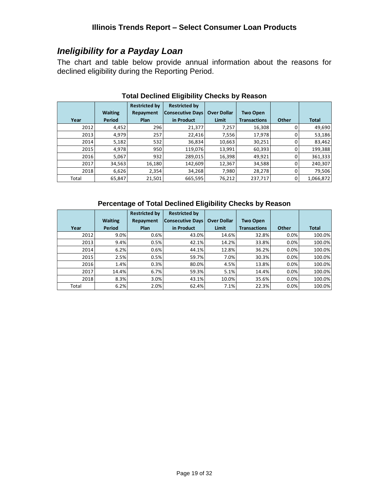### <span id="page-18-0"></span>*Ineligibility for a Payday Loan*

The chart and table below provide annual information about the reasons for declined eligibility during the Reporting Period.

|       |                | <b>Restricted by</b> | <b>Restricted by</b>    |                    |                     |       |              |
|-------|----------------|----------------------|-------------------------|--------------------|---------------------|-------|--------------|
|       | <b>Waiting</b> | Repayment            | <b>Consecutive Days</b> | <b>Over Dollar</b> | <b>Two Open</b>     |       |              |
| Year  | <b>Period</b>  | <b>Plan</b>          | in Product              | Limit              | <b>Transactions</b> | Other | <b>Total</b> |
| 2012  | 4,452          | 296                  | 21,377                  | 7,257              | 16,308              |       | 49,690       |
| 2013  | 4,979          | 257                  | 22,416                  | 7,556              | 17,978              |       | 53,186       |
| 2014  | 5,182          | 532                  | 36,834                  | 10,663             | 30,251              |       | 83,462       |
| 2015  | 4,978          | 950                  | 119,076                 | 13,991             | 60,393              |       | 199,388      |
| 2016  | 5,067          | 932                  | 289,015                 | 16,398             | 49,921              |       | 361,333      |
| 2017  | 34,563         | 16,180               | 142,609                 | 12,367             | 34,588              |       | 240,307      |
| 2018  | 6,626          | 2,354                | 34,268                  | 7,980              | 28,278              |       | 79,506       |
| Total | 65,847         | 21,501               | 665,595                 | 76,212             | 237,717             |       | 1,066,872    |

#### **Total Declined Eligibility Checks by Reason**

#### **Percentage of Total Declined Eligibility Checks by Reason**

|       |                | <b>Restricted by</b> | <b>Restricted by</b>    |                    |                     |       |              |
|-------|----------------|----------------------|-------------------------|--------------------|---------------------|-------|--------------|
|       | <b>Waiting</b> | Repayment            | <b>Consecutive Days</b> | <b>Over Dollar</b> | <b>Two Open</b>     |       |              |
| Year  | <b>Period</b>  | Plan                 | in Product              | Limit              | <b>Transactions</b> | Other | <b>Total</b> |
| 2012  | 9.0%           | 0.6%                 | 43.0%                   | 14.6%              | 32.8%               | 0.0%  | 100.0%       |
| 2013  | 9.4%           | 0.5%                 | 42.1%                   | 14.2%              | 33.8%               | 0.0%  | 100.0%       |
| 2014  | 6.2%           | 0.6%                 | 44.1%                   | 12.8%              | 36.2%               | 0.0%  | 100.0%       |
| 2015  | 2.5%           | 0.5%                 | 59.7%                   | 7.0%               | 30.3%               | 0.0%  | 100.0%       |
| 2016  | 1.4%           | 0.3%                 | 80.0%                   | 4.5%               | 13.8%               | 0.0%  | 100.0%       |
| 2017  | 14.4%          | 6.7%                 | 59.3%                   | 5.1%               | 14.4%               | 0.0%  | 100.0%       |
| 2018  | 8.3%           | 3.0%                 | 43.1%                   | 10.0%              | 35.6%               | 0.0%  | 100.0%       |
| Total | 6.2%           | 2.0%                 | 62.4%                   | 7.1%               | 22.3%               | 0.0%  | 100.0%       |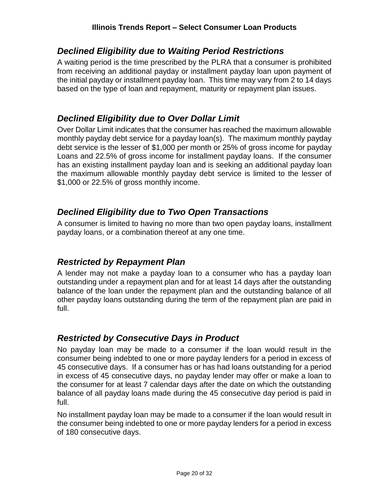### <span id="page-19-0"></span>*Declined Eligibility due to Waiting Period Restrictions*

A waiting period is the time prescribed by the PLRA that a consumer is prohibited from receiving an additional payday or installment payday loan upon payment of the initial payday or installment payday loan. This time may vary from 2 to 14 days based on the type of loan and repayment, maturity or repayment plan issues.

### <span id="page-19-1"></span>*Declined Eligibility due to Over Dollar Limit*

Over Dollar Limit indicates that the consumer has reached the maximum allowable monthly payday debt service for a payday loan(s). The maximum monthly payday debt service is the lesser of \$1,000 per month or 25% of gross income for payday Loans and 22.5% of gross income for installment payday loans. If the consumer has an existing installment payday loan and is seeking an additional payday loan the maximum allowable monthly payday debt service is limited to the lesser of \$1,000 or 22.5% of gross monthly income.

### <span id="page-19-2"></span>*Declined Eligibility due to Two Open Transactions*

A consumer is limited to having no more than two open payday loans, installment payday loans, or a combination thereof at any one time.

### <span id="page-19-3"></span>*Restricted by Repayment Plan*

A lender may not make a payday loan to a consumer who has a payday loan outstanding under a repayment plan and for at least 14 days after the outstanding balance of the loan under the repayment plan and the outstanding balance of all other payday loans outstanding during the term of the repayment plan are paid in full.

### <span id="page-19-4"></span>*Restricted by Consecutive Days in Product*

No payday loan may be made to a consumer if the loan would result in the consumer being indebted to one or more payday lenders for a period in excess of 45 consecutive days. If a consumer has or has had loans outstanding for a period in excess of 45 consecutive days, no payday lender may offer or make a loan to the consumer for at least 7 calendar days after the date on which the outstanding balance of all payday loans made during the 45 consecutive day period is paid in full.

No installment payday loan may be made to a consumer if the loan would result in the consumer being indebted to one or more payday lenders for a period in excess of 180 consecutive days.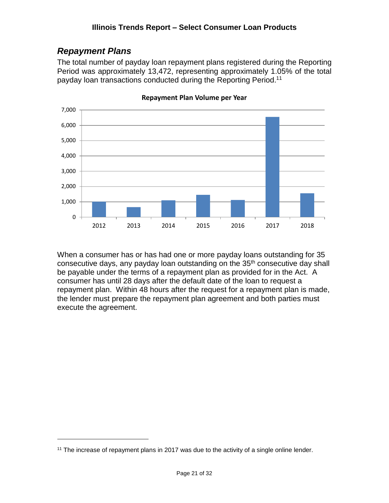### <span id="page-20-0"></span>*Repayment Plans*

 $\overline{a}$ 

The total number of payday loan repayment plans registered during the Reporting Period was approximately 13,472, representing approximately 1.05% of the total payday loan transactions conducted during the Reporting Period.<sup>11</sup>



**Repayment Plan Volume per Year**

When a consumer has or has had one or more payday loans outstanding for 35 consecutive days, any payday loan outstanding on the 35<sup>th</sup> consecutive day shall be payable under the terms of a repayment plan as provided for in the Act. A consumer has until 28 days after the default date of the loan to request a repayment plan. Within 48 hours after the request for a repayment plan is made, the lender must prepare the repayment plan agreement and both parties must execute the agreement.

<sup>&</sup>lt;sup>11</sup> The increase of repayment plans in 2017 was due to the activity of a single online lender.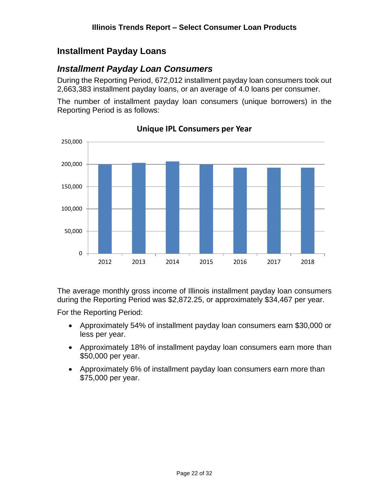### <span id="page-21-0"></span>**Installment Payday Loans**

### <span id="page-21-1"></span>*Installment Payday Loan Consumers*

During the Reporting Period, 672,012 installment payday loan consumers took out 2,663,383 installment payday loans, or an average of 4.0 loans per consumer.

The number of installment payday loan consumers (unique borrowers) in the Reporting Period is as follows:



**Unique IPL Consumers per Year**

The average monthly gross income of Illinois installment payday loan consumers during the Reporting Period was \$2,872.25, or approximately \$34,467 per year.

For the Reporting Period:

- Approximately 54% of installment payday loan consumers earn \$30,000 or less per year.
- Approximately 18% of installment payday loan consumers earn more than \$50,000 per year.
- Approximately 6% of installment payday loan consumers earn more than \$75,000 per year.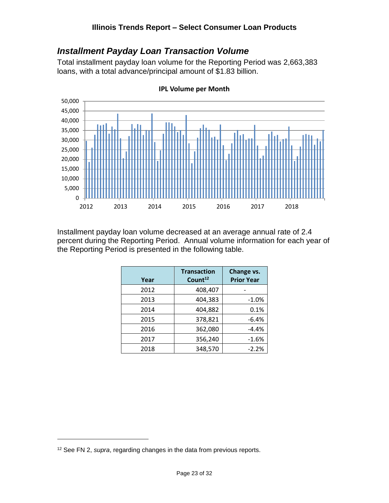### <span id="page-22-0"></span>*Installment Payday Loan Transaction Volume*

Total installment payday loan volume for the Reporting Period was 2,663,383 loans, with a total advance/principal amount of \$1.83 billion.



**IPL Volume per Month**

Installment payday loan volume decreased at an average annual rate of 2.4 percent during the Reporting Period. Annual volume information for each year of the Reporting Period is presented in the following table.

| Year | <b>Transaction</b><br>Count <sup>12</sup> | Change vs.<br><b>Prior Year</b> |
|------|-------------------------------------------|---------------------------------|
| 2012 | 408,407                                   |                                 |
| 2013 | 404,383                                   | $-1.0%$                         |
| 2014 | 404,882                                   | 0.1%                            |
| 2015 | 378,821                                   | $-6.4%$                         |
| 2016 | 362,080                                   | $-4.4%$                         |
| 2017 | 356,240                                   | $-1.6%$                         |
| 2018 | 348,570                                   | $-2.2%$                         |

<sup>12</sup> See FN 2, *supra*, regarding changes in the data from previous reports.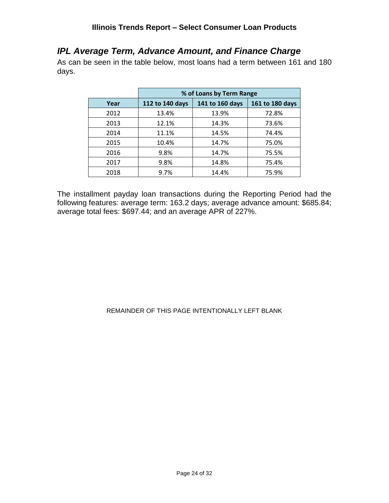### <span id="page-23-0"></span>*IPL Average Term, Advance Amount, and Finance Charge*

As can be seen in the table below, most loans had a term between 161 and 180 days.

|      | % of Loans by Term Range |                 |                 |  |  |  |
|------|--------------------------|-----------------|-----------------|--|--|--|
| Year | 112 to 140 days          | 141 to 160 days | 161 to 180 days |  |  |  |
| 2012 | 13.4%                    | 13.9%           | 72.8%           |  |  |  |
| 2013 | 12.1%                    | 14.3%           | 73.6%           |  |  |  |
| 2014 | 11.1%                    | 14.5%           | 74.4%           |  |  |  |
| 2015 | 10.4%                    | 14.7%           | 75.0%           |  |  |  |
| 2016 | 9.8%                     | 14.7%           | 75.5%           |  |  |  |
| 2017 | 9.8%                     | 14.8%           | 75.4%           |  |  |  |
| 2018 | 9.7%                     | 14.4%           | 75.9%           |  |  |  |

The installment payday loan transactions during the Reporting Period had the following features: average term: 163.2 days; average advance amount: \$685.84; average total fees: \$697.44; and an average APR of 227%.

#### REMAINDER OF THIS PAGE INTENTIONALLY LEFT BLANK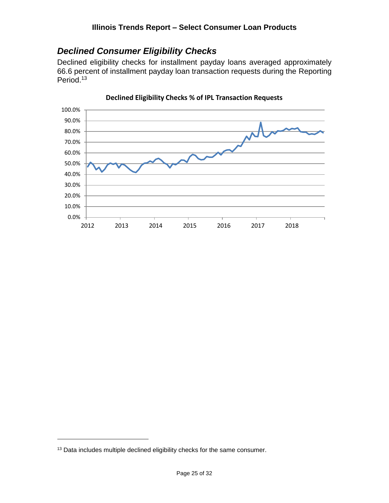### <span id="page-24-0"></span>*Declined Consumer Eligibility Checks*

Declined eligibility checks for installment payday loans averaged approximately 66.6 percent of installment payday loan transaction requests during the Reporting Period. 13



**Declined Eligibility Checks % of IPL Transaction Requests**

<sup>&</sup>lt;sup>13</sup> Data includes multiple declined eligibility checks for the same consumer.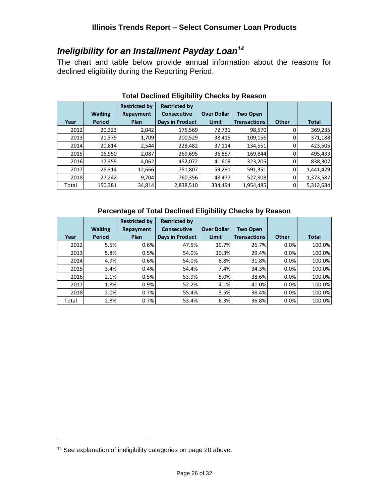### <span id="page-25-0"></span>*Ineligibility for an Installment Payday Loan<sup>14</sup>*

The chart and table below provide annual information about the reasons for declined eligibility during the Reporting Period.

|       |                | <b>Restricted by</b> | <b>Restricted by</b>   |                    |                     |              |              |
|-------|----------------|----------------------|------------------------|--------------------|---------------------|--------------|--------------|
|       | <b>Waiting</b> | Repayment            | <b>Consecutive</b>     | <b>Over Dollar</b> | <b>Two Open</b>     |              |              |
| Year  | Period         | Plan                 | <b>Days in Product</b> | <b>Limit</b>       | <b>Transactions</b> | <b>Other</b> | <b>Total</b> |
| 2012  | 20,323         | 2,042                | 175,569                | 72,731             | 98,570              |              | 369,235      |
| 2013  | 21,379         | 1,709                | 200,529                | 38,415             | 109,156             | 0            | 371,188      |
| 2014  | 20,814         | 2,544                | 228,482                | 37,114             | 134,551             | 0            | 423,505      |
| 2015  | 16,950         | 2,087                | 269,695                | 36,857             | 169,844             |              | 495,433      |
| 2016  | 17,359         | 4,062                | 452,072                | 41,609             | 323,205             | 0            | 838,307      |
| 2017  | 26,314         | 12,666               | 751,807                | 59,291             | 591,351             | 0            | 1,441,429    |
| 2018  | 27,242         | 9,704                | 760,356                | 48.477             | 527,808             | 0            | 1,373,587    |
| Total | 150,381        | 34,814               | 2,838,510              | 334,494            | 1,954,485           |              | 5,312,684    |

### **Total Declined Eligibility Checks by Reason**

#### **Percentage of Total Declined Eligibility Checks by Reason**

|       |                | <b>Restricted by</b> | <b>Restricted by</b>   |                    |                     |              |              |
|-------|----------------|----------------------|------------------------|--------------------|---------------------|--------------|--------------|
|       | <b>Waiting</b> | Repayment            | Consecutive            | <b>Over Dollar</b> | <b>Two Open</b>     |              |              |
| Year  | Period         | Plan                 | <b>Days in Product</b> | Limit              | <b>Transactions</b> | <b>Other</b> | <b>Total</b> |
| 2012  | 5.5%           | 0.6%                 | 47.5%                  | 19.7%              | 26.7%               | 0.0%         | 100.0%       |
| 2013  | 5.8%           | 0.5%                 | 54.0%                  | 10.3%              | 29.4%               | 0.0%         | 100.0%       |
| 2014  | 4.9%           | 0.6%                 | 54.0%                  | 8.8%               | 31.8%               | 0.0%         | 100.0%       |
| 2015  | 3.4%           | 0.4%                 | 54.4%                  | 7.4%               | 34.3%               | 0.0%         | 100.0%       |
| 2016  | 2.1%           | 0.5%                 | 53.9%                  | 5.0%               | 38.6%               | 0.0%         | 100.0%       |
| 2017  | 1.8%           | 0.9%                 | 52.2%                  | 4.1%               | 41.0%               | 0.0%         | 100.0%       |
| 2018  | 2.0%           | 0.7%                 | 55.4%                  | 3.5%               | 38.4%               | 0.0%         | 100.0%       |
| Total | 2.8%           | 0.7%                 | 53.4%                  | 6.3%               | 36.8%               | 0.0%         | 100.0%       |

<sup>14</sup> See explanation of ineligibility categories on page 20 above.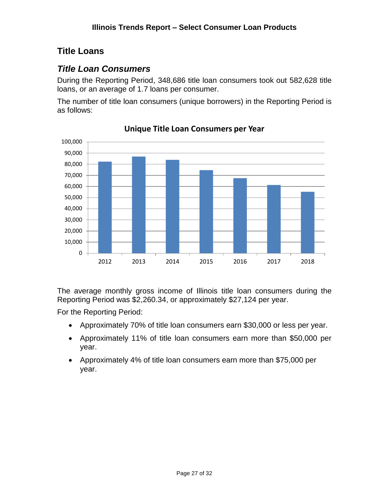### <span id="page-26-0"></span>**Title Loans**

### <span id="page-26-1"></span>*Title Loan Consumers*

During the Reporting Period, 348,686 title loan consumers took out 582,628 title loans, or an average of 1.7 loans per consumer.

The number of title loan consumers (unique borrowers) in the Reporting Period is as follows:



### **Unique Title Loan Consumers per Year**

The average monthly gross income of Illinois title loan consumers during the Reporting Period was \$2,260.34, or approximately \$27,124 per year.

For the Reporting Period:

- Approximately 70% of title loan consumers earn \$30,000 or less per year.
- Approximately 11% of title loan consumers earn more than \$50,000 per year.
- Approximately 4% of title loan consumers earn more than \$75,000 per year.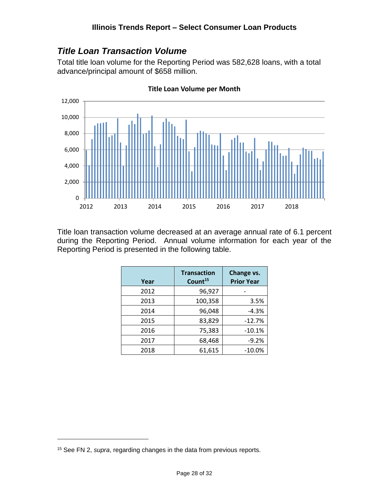### <span id="page-27-0"></span>*Title Loan Transaction Volume*

Total title loan volume for the Reporting Period was 582,628 loans, with a total advance/principal amount of \$658 million.



**Title Loan Volume per Month**

Title loan transaction volume decreased at an average annual rate of 6.1 percent during the Reporting Period. Annual volume information for each year of the Reporting Period is presented in the following table.

| Year | <b>Transaction</b><br>Count <sup>15</sup> | Change vs.<br><b>Prior Year</b> |
|------|-------------------------------------------|---------------------------------|
| 2012 | 96,927                                    |                                 |
| 2013 | 100,358                                   | 3.5%                            |
| 2014 | 96,048                                    | $-4.3%$                         |
| 2015 | 83,829                                    | $-12.7%$                        |
| 2016 | 75,383                                    | $-10.1%$                        |
| 2017 | 68,468                                    | $-9.2%$                         |
| 2018 | 61,615                                    | $-10.0%$                        |

<sup>15</sup> See FN 2, *supra*, regarding changes in the data from previous reports.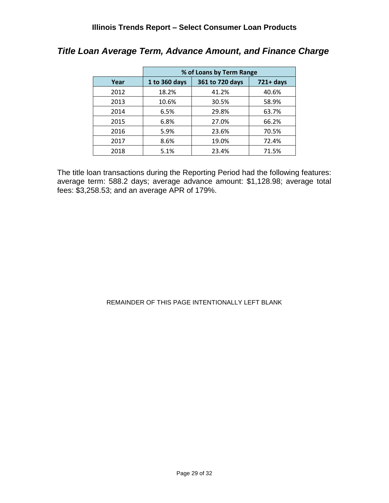|      | % of Loans by Term Range |                 |              |  |
|------|--------------------------|-----------------|--------------|--|
| Year | 1 to 360 days            | 361 to 720 days | $721 + days$ |  |
| 2012 | 18.2%                    | 41.2%           | 40.6%        |  |
| 2013 | 10.6%                    | 30.5%           | 58.9%        |  |
| 2014 | 6.5%                     | 29.8%           | 63.7%        |  |
| 2015 | 6.8%                     | 27.0%           | 66.2%        |  |
| 2016 | 5.9%                     | 23.6%           | 70.5%        |  |
| 2017 | 8.6%                     | 19.0%           | 72.4%        |  |
| 2018 | 5.1%                     | 23.4%           | 71.5%        |  |

### <span id="page-28-0"></span>*Title Loan Average Term, Advance Amount, and Finance Charge*

The title loan transactions during the Reporting Period had the following features: average term: 588.2 days; average advance amount: \$1,128.98; average total fees: \$3,258.53; and an average APR of 179%.

#### REMAINDER OF THIS PAGE INTENTIONALLY LEFT BLANK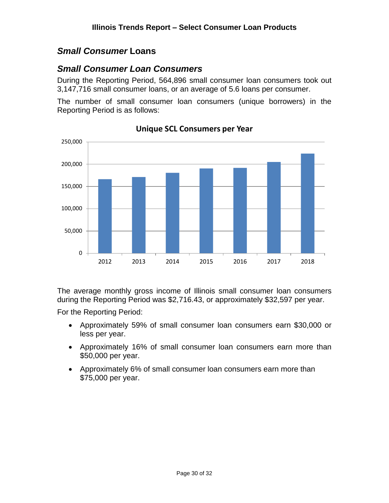### <span id="page-29-0"></span>*Small Consumer* **Loans**

### <span id="page-29-1"></span>*Small Consumer Loan Consumers*

During the Reporting Period, 564,896 small consumer loan consumers took out 3,147,716 small consumer loans, or an average of 5.6 loans per consumer.

The number of small consumer loan consumers (unique borrowers) in the Reporting Period is as follows:



**Unique SCL Consumers per Year**

The average monthly gross income of Illinois small consumer loan consumers during the Reporting Period was \$2,716.43, or approximately \$32,597 per year.

For the Reporting Period:

- Approximately 59% of small consumer loan consumers earn \$30,000 or less per year.
- Approximately 16% of small consumer loan consumers earn more than \$50,000 per year.
- Approximately 6% of small consumer loan consumers earn more than \$75,000 per year.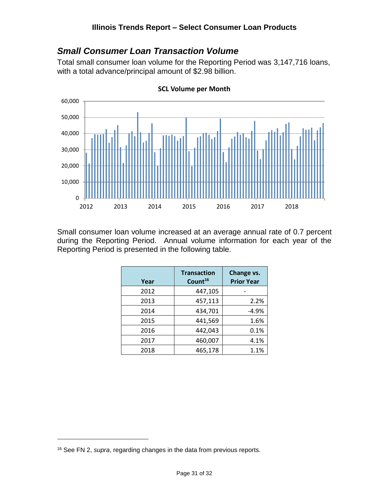### <span id="page-30-0"></span>*Small Consumer Loan Transaction Volume*

Total small consumer loan volume for the Reporting Period was 3,147,716 loans, with a total advance/principal amount of \$2.98 billion.



**SCL Volume per Month**

Small consumer loan volume increased at an average annual rate of 0.7 percent during the Reporting Period. Annual volume information for each year of the Reporting Period is presented in the following table.

| Year | <b>Transaction</b><br>Count <sup>16</sup> | Change vs.<br><b>Prior Year</b> |
|------|-------------------------------------------|---------------------------------|
| 2012 | 447,105                                   |                                 |
| 2013 | 457,113                                   | 2.2%                            |
| 2014 | 434,701                                   | $-4.9%$                         |
| 2015 | 441,569                                   | 1.6%                            |
| 2016 | 442,043                                   | 0.1%                            |
| 2017 | 460,007                                   | 4.1%                            |
| 2018 | 465,178                                   | 1.1%                            |

<sup>16</sup> See FN 2, *supra*, regarding changes in the data from previous reports.